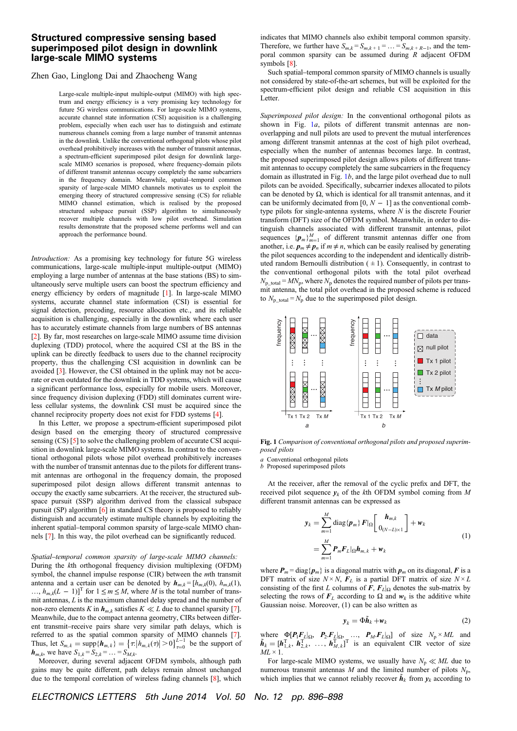## Structured compressive sensing based superimposed pilot design in downlink large-scale MIMO systems

## Zhen Gao, Linglong Dai and Zhaocheng Wang

Large-scale multiple-input multiple-output (MIMO) with high spectrum and energy efficiency is a very promising key technology for future 5G wireless communications. For large-scale MIMO systems, accurate channel state information (CSI) acquisition is a challenging problem, especially when each user has to distinguish and estimate numerous channels coming from a large number of transmit antennas in the downlink. Unlike the conventional orthogonal pilots whose pilot overhead prohibitively increases with the number of transmit antennas, a spectrum-efficient superimposed pilot design for downlink largescale MIMO scenarios is proposed, where frequency-domain pilots of different transmit antennas occupy completely the same subcarriers in the frequency domain. Meanwhile, spatial–temporal common sparsity of large-scale MIMO channels motivates us to exploit the emerging theory of structured compressive sensing (CS) for reliable MIMO channel estimation, which is realised by the proposed structured subspace pursuit (SSP) algorithm to simultaneously recover multiple channels with low pilot overhead. Simulation results demonstrate that the proposed scheme performs well and can approach the performance bound.

Introduction: As a promising key technology for future 5G wireless communications, large-scale multiple-input multiple-output (MIMO) employing a large number of antennas at the base stations (BS) to simultaneously serve multiple users can boost the spectrum efficiency and energy efficiency by orders of magnitude [1]. In large-scale MIMO systems, accurate channel state information (CSI) is essential for signal detection, precoding, resource allocation etc., and its reliable acquisition is challenging, especially in the downlink where each user has to accurately estimate channels from large numbers of BS antennas [2]. By far, most researches on large-scale MIMO assume time division duplexing (TDD) protocol, where the acquired CSI at the BS in the uplink can be directly feedback to users due to the channel reciprocity property, thus the challenging CSI acquisition in downlink can be avoided [3]. However, the CSI obtained in the uplink may not be accurate or even outdated for the downlink in TDD systems, which will cause a significant performance loss, especially for mobile users. Moreover, since frequency division duplexing (FDD) still dominates current wireless cellular systems, the downlink CSI must be acquired since the channel reciprocity property does not exist for FDD systems [4].

In this Letter, we propose a spectrum-efficient superimposed pilot design based on the emerging theory of structured compressive sensing (CS) [5] to solve the challenging problem of accurate CSI acquisition in downlink large-scale MIMO systems. In contrast to the conventional orthogonal pilots whose pilot overhead prohibitively increases with the number of transmit antennas due to the pilots for different transmit antennas are orthogonal in the frequency domain, the proposed superimposed pilot design allows different transmit antennas to occupy the exactly same subcarriers. At the receiver, the structured subspace pursuit (SSP) algorithm derived from the classical subspace pursuit (SP) algorithm [6] in standard CS theory is proposed to reliably distinguish and accurately estimate multiple channels by exploiting the inherent spatial–temporal common sparsity of large-scale MIMO channels [7]. In this way, the pilot overhead can be significantly reduced.

Spatial–temporal common sparsity of large-scale MIMO channels: During the kth orthogonal frequency division multiplexing (OFDM) symbol, the channel impulse response (CIR) between the mth transmit antenna and a certain user can be denoted by  $h_{m,k} = [h_{m,k}(0), h_{m,k}(1),$ …,  $h_{m,k}(L-1)$ <sup>T</sup> for  $1 \le m \le M$ , where M is the total number of transmit antennas, L is the maximum channel delay spread and the number of non-zero elements K in  $h_{m,k}$  satisfies  $K \ll L$  due to channel sparsity [7]. Meanwhile, due to the compact antenna geometry, CIRs between different transmit–receive pairs share very similar path delays, which is referred to as the spatial common sparsity of MIMO channels [7].<br>Thus, let  $S_{m,k} = \sup p\{h_{m,k}\} = \left\{\tau: |h_{m,k}(\tau)| > 0\right\}_{\tau=0}^{L-1}$  be the support of  $h_{m,k}$ , we have  $S_{1,k} = S_{2,k} = \ldots = S_{M,k}$ .

Moreover, during several adjacent OFDM symbols, although path gains may be quite different, path delays remain almost unchanged due to the temporal correlation of wireless fading channels [8], which indicates that MIMO channels also exhibit temporal common sparsity. Therefore, we further have  $S_{m,k} = S_{m,k+1} = \ldots = S_{m,k+R-1}$ , and the temporal common sparsity can be assumed during R adjacent OFDM symbols [8].

Such spatial–temporal common sparsity of MIMO channels is usually not considered by state-of-the-art schemes, but will be exploited for the spectrum-efficient pilot design and reliable CSI acquisition in this Letter.

Superimposed pilot design: In the conventional orthogonal pilots as shown in Fig.  $1a$ , pilots of different transmit antennas are nonoverlapping and null pilots are used to prevent the mutual interferences among different transmit antennas at the cost of high pilot overhead, especially when the number of antennas becomes large. In contrast, the proposed superimposed pilot design allows pilots of different transmit antennas to occupy completely the same subcarriers in the frequency domain as illustrated in Fig.  $1b$ , and the large pilot overhead due to null pilots can be avoided. Specifically, subcarrier indexes allocated to pilots can be denoted by  $\Omega$ , which is identical for all transmit antennas, and it can be uniformly decimated from [0,  $N - 1$ ] as the conventional combtype pilots for single-antenna systems, where  $N$  is the discrete Fourier transform (DFT) size of the OFDM symbol. Meanwhile, in order to distinguish channels associated with different transmit antennas, pilot sequences  ${p_m}_{m=1}^M$  of different transmit antennas differ one from another, i.e.  $p_m \neq p_n$  if  $m \neq n$ , which can be easily realised by generating the pilot sequences according to the independent and identically distributed random Bernoulli distribution  $( \pm 1)$ . Consequently, in contrast to the conventional orthogonal pilots with the total pilot overhead  $N<sub>p</sub>$  total =  $MN<sub>p</sub>$ , where  $N<sub>p</sub>$  denotes the required number of pilots per transmit antenna, the total pilot overhead in the proposed scheme is reduced to  $N_{\text{p\_total}} = N_{\text{p}}$  due to the superimposed pilot design.



Fig. 1 Comparison of conventional orthogonal pilots and proposed superimposed pilots

a Conventional orthogonal pilots

b Proposed superimposed pilots

At the receiver, after the removal of the cyclic prefix and DFT, the received pilot sequence  $v_k$  of the kth OFDM symbol coming from M different transmit antennas can be expressed as

$$
\mathbf{y}_{k} = \sum_{m=1}^{M} \text{diag}\{\boldsymbol{p}_{m}\} \boldsymbol{F}|_{\Omega} \begin{bmatrix} \boldsymbol{h}_{m,k} \\ 0_{(N-L)\times 1} \end{bmatrix} + \boldsymbol{w}_{k}
$$
\n
$$
= \sum_{m=1}^{M} \boldsymbol{P}_{m} \boldsymbol{F}_{L}|_{\Omega} \boldsymbol{h}_{m,k} + \boldsymbol{w}_{k}
$$
\n(1)

where  $P_m = \text{diag}\{p_m\}$  is a diagonal matrix with  $p_m$  on its diagonal, F is a DFT matrix of size  $N \times N$ ,  $F_L$  is a partial DFT matrix of size  $N \times L$ consisting of the first L columns of F,  $F_L|_{\Omega}$  denotes the sub-matrix by selecting the rows of  $F_L$  according to  $\Omega$  and  $w_k$  is the additive white Gaussian noise. Moreover, (1) can be also written as

$$
\mathbf{y}_k = \Phi \tilde{\mathbf{h}}_k + \mathbf{w}_k \tag{2}
$$

where  $\Phi[P_1F_L]_{\Omega}, P_2.F_L]_{\Omega}, ..., P_M.F_L]_{\Omega}$  of size  $N_p \times ML$  and  $\tilde{h}_k = [h_{1,k}^T, h_{2,k}^T, ..., h_{M,k}^T]^T$  is an equivalent CIR vector of size  $ML \times 1$ .

For large-scale MIMO systems, we usually have  $N_p \ll ML$  due to numerous transmit antennas M and the limited number of pilots  $N_p$ , which implies that we cannot reliably recover  $\tilde{h}_k$  from  $y_k$  according to

ELECTRONICS LETTERS 5th June 2014 Vol. 50 No. 12 pp. 896–898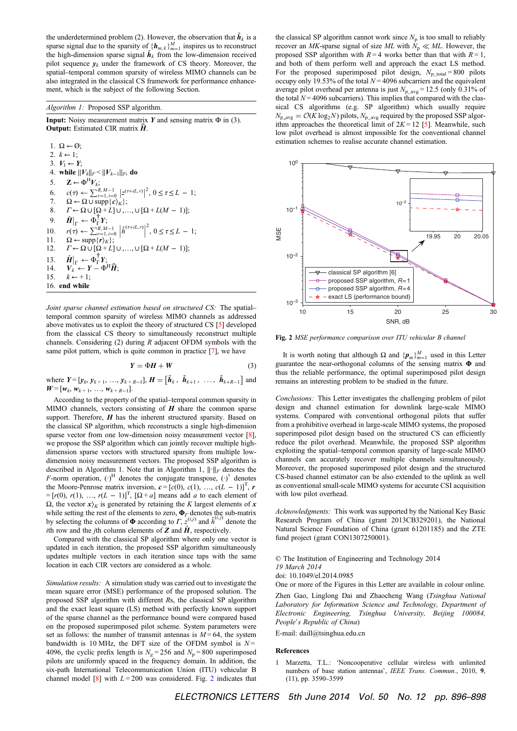the underdetermined problem (2). However, the observation that  $\tilde{h}_k$  is a sparse signal due to the sparsity of  ${h_{m,k}}_{m=1}^M$  inspires us to reconstruct the high-dimension sparse signal  $\tilde{h}_k$  from the low-dimension received pilot sequence  $v_k$  under the framework of CS theory. Moreover, the spatial–temporal common sparsity of wireless MIMO channels can be also integrated in the classical CS framework for performance enhancement, which is the subject of the following Section.

## Algorithm 1: Proposed SSP algorithm.

**Input:** Noisy measurement matrix Y and sensing matrix  $\Phi$  in (3). **Output:** Estimated CIR matrix  $\widehat{H}$ .

1.  $\Omega \leftarrow \emptyset$ ; 2.  $k \leftarrow 1$ ; 3.  $V_1 \leftarrow Y$ ; 4. while  $||V_k||_F < ||V_{k-1}||_F$ , do 5.  $\mathbf{Z} \leftarrow \Phi^{\mathrm{H}} V_k$ ; 6.  $c(\tau) \leftarrow \sum_{r=1, i=0}^{R, M-1} |z^{(\tau+iL, r)}|^2, 0 \leq \tau \leq L - 1;$ 7.  $\Omega \leftarrow \Omega \cup \text{supp}\{c\rangle_K\};$ <br>8.  $\Gamma \leftarrow \Omega \cup [\Omega + L] \cup ...$  $\Gamma \leftarrow \Omega \cup [\Omega + L] \cup \ldots \cup [\Omega + L(M-1)];$ 9.  $\hat{H}|_{\Gamma} \leftarrow \Phi_{\Gamma}^{\top} Y;$ 10.  $r(\tau) \leftarrow \sum_{r=1, i=0}^{R, M-1} \left| \hat{h}^{(\tau+iL, r)} \right|$ ! ! !  $2^{2}$ ,  $0 \leq \tau \leq L - 1$ ; 11.  $\Omega \leftarrow \text{supp}\{r\}_K\};$ 12.  $\Gamma \leftarrow \Omega \cup [\Omega + L] \cup \ldots \cup [\Omega + L(M - 1)];$  $13.$  $\big|_{\Gamma} \leftarrow \Phi_{\Gamma}^{\top} Y;$ 14.  $V_k^{\text{H}} \leftarrow Y - \Phi^{\text{H}} \hat{H};$ <br>15.  $k \leftarrow +1$ :  $k \leftarrow +1$ ; 16. end while

Joint sparse channel estimation based on structured  $CS<sup>c</sup>$ . The spatial– temporal common sparsity of wireless MIMO channels as addressed above motivates us to exploit the theory of structured CS [5] developed from the classical CS theory to simultaneously reconstruct multiple channels. Considering  $(2)$  during R adjacent OFDM symbols with the same pilot pattern, which is quite common in practice [7], we have

$$
Y = \Phi H + W \tag{3}
$$

where  $Y = [y_k, y_{k+1}, ..., y_{k+R-1}], H = [\tilde{h}_k, \tilde{h}_{k+1}, ..., \tilde{h}_{k+R-1}]$  and  $W = [w_k, w_{k+1}, ..., w_{k+R-1}].$ 

According to the property of the spatial–temporal common sparsity in MIMO channels, vectors consisting of  $H$  share the common sparse support. Therefore,  $H$  has the inherent structured sparsity. Based on the classical SP algorithm, which reconstructs a single high-dimension sparse vector from one low-dimension noisy measurement vector [8], we propose the SSP algorithm which can jointly recover multiple highdimension sparse vectors with structured sparsity from multiple lowdimension noisy measurement vectors. The proposed SSP algorithm is described in Algorithm 1. Note that in Algorithm 1,  $\lVert \cdot \rVert_F$  denotes the F-norm operation,  $(\cdot)^H$  denotes the conjugate transpose,  $(\cdot)^{\dagger}$  denotes the Moore-Penrose matrix inversion,  $c = [c(0), c(1), ..., c(L-1)]^T$ , r  $=[r(0), r(1), ..., r(L-1)]^{T}$ ,  $[\Omega + a]$  means add a to each element of  $\Omega$ , the vector x)<sub>K</sub> is generated by retaining the K largest elements of x while setting the rest of the elements to zero,  $\Phi_r$  denotes the sub-matrix by selecting the columns of  $\Phi$  according to  $\Gamma$ ,  $z^{(i,j)}$  and  $\hat{h}^{(i,j)}$  denote the *i*th row and the *j*th column elements of **Z** and  $\hat{H}$ , respectively.

Compared with the classical SP algorithm where only one vector is updated in each iteration, the proposed SSP algorithm simultaneously updates multiple vectors in each iteration since taps with the same location in each CIR vectors are considered as a whole.

Simulation results: A simulation study was carried out to investigate the mean square error (MSE) performance of the proposed solution. The proposed SSP algorithm with different Rs, the classical SP algorithm and the exact least square (LS) method with perfectly known support of the sparse channel as the performance bound were compared based on the proposed superimposed pilot scheme. System parameters were set as follows: the number of transmit antennas is  $M = 64$ , the system bandwidth is 10 MHz, the DFT size of the OFDM symbol is  $N =$ 4096, the cyclic prefix length is  $N_e = 256$  and  $N_p = 800$  superimposed pilots are uniformly spaced in the frequency domain. In addition, the six-path International Telecommunication Union (ITU) vehicular B channel model [8] with  $L = 200$  was considered. Fig. 2 indicates that the classical SP algorithm cannot work since  $N_p$  is too small to reliably recover an MK-sparse signal of size ML with  $N_p \ll ML$ . However, the proposed SSP algorithm with  $R = 4$  works better than that with  $R = 1$ , and both of them perform well and approach the exact LS method. For the proposed superimposed pilot design,  $N<sub>p</sub>$  total = 800 pilots occupy only 19.53% of the total  $N = 4096$  subcarriers and the equivalent average pilot overhead per antenna is just  $N_{\text{p-avg}} = 12.5$  (only 0.31% of the total  $N = 4096$  subcarriers). This implies that compared with the classical CS algorithms (e.g. SP algorithm) which usually require  $N_{\rm p\_{avg}} = \mathcal{O}(K \log_2 N)$  pilots,  $N_{\rm p\_{avg}}$  required by the proposed SSP algorithm approaches the theoretical limit of  $2K = 12$  [5]. Meanwhile, such low pilot overhead is almost impossible for the conventional channel estimation schemes to realise accurate channel estimation.



Fig. 2 MSE performance comparison over ITU vehicular B channel

It is worth noting that although  $\Omega$  and  $\{p_m\}_{m=1}^M$  used in this Letter guarantee the near-orthogonal columns of the sensing matrix Φ and thus the reliable performance, the optimal superimposed pilot design remains an interesting problem to be studied in the future.

Conclusions: This Letter investigates the challenging problem of pilot design and channel estimation for downlink large-scale MIMO systems. Compared with conventional orthogonal pilots that suffer from a prohibitive overhead in large-scale MIMO systems, the proposed superimposed pilot design based on the structured CS can efficiently reduce the pilot overhead. Meanwhile, the proposed SSP algorithm exploiting the spatial–temporal common sparsity of large-scale MIMO channels can accurately recover multiple channels simultaneously. Moreover, the proposed superimposed pilot design and the structured CS-based channel estimator can be also extended to the uplink as well as conventional small-scale MIMO systems for accurate CSI acquisition with low pilot overhead.

Acknowledgments: This work was supported by the National Key Basic Research Program of China (grant 2013CB329201), the National Natural Science Foundation of China (grant 61201185) and the ZTE fund project (grant CON1307250001).

© The Institution of Engineering and Technology 2014 19 March 2014 doi: 10.1049/el.2014.0985

One or more of the Figures in this Letter are available in colour online. Zhen Gao, Linglong Dai and Zhaocheng Wang (Tsinghua National Laboratory for Information Science and Technology, Department of Electronic Engineering, Tsinghua University, Beijing 100084,

People's Republic of China) E-mail: daill@tsinghua.edu.cn

## References

1 Marzetta, T.L.: 'Noncooperative cellular wireless with unlimited numbers of base station antennas', IEEE Trans. Commun., 2010, 9, (11), pp. 3590–3599